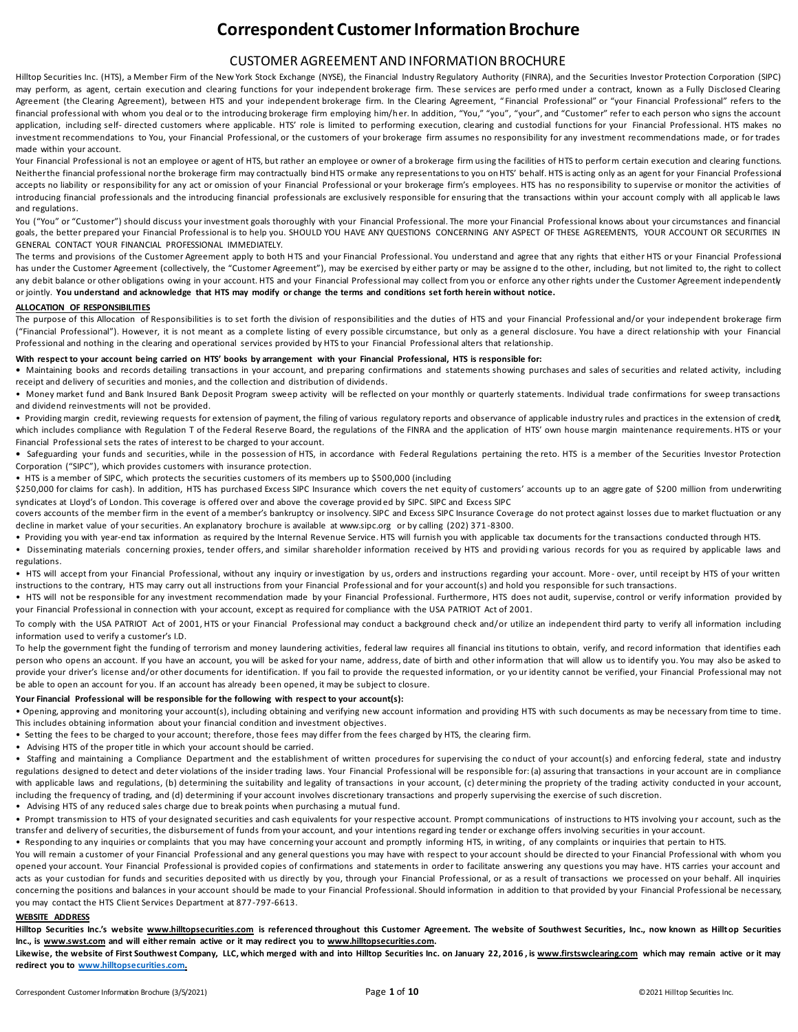# **Correspondent Customer Information Brochure**

# CUSTOMER AGREEMENT AND INFORMATION BROCHURE

Hilltop Securities Inc. (HTS), a Member Firm of the New York Stock Exchange (NYSE), the Financial Industry Regulatory Authority (FINRA), and the Securities Investor Protection Corporation (SIPC) may perform, as agent, certain execution and clearing functions for your independent brokerage firm. These services are performed under a contract, known as a Fully Disclosed Clearing Agreement (the Clearing Agreement), between HTS and your independent brokerage firm. In the Clearing Agreement, "Financial Professional" or "your Financial Professional" refers to the financial professional with whom you deal or to the introducing brokerage firm employing him/her. In addition, "You," "you", "your", and "Customer" refer to each person who signs the account application, including self-directed customers where applicable. HTS' role is limited to performing execution, clearing and custodial functions for your Financial Professional. HTS makes no investment recommendations to You, your Financial Professional, or the customers of your brokerage firm assumes no responsibility for any investment recommendations made, or for trades made within your account.

Your Financial Professional is not an employee or agent of HTS, but rather an employee or owner of a brokerage firm using the facilities of HTS to perform certain execution and clearing functions. Neither the financial professional nor the brokerage firm may contractually bind HTS ormake any representations to you on HTS' behalf. HTS is acting only as an agent for your Financial Professional accepts no liability or responsibility for any act or omission of your Financial Professional or your brokerage firm's employees. HTS has no responsibility to supervise or monitor the activities of introducing financial professionals and the introducing financial professionals are exclusively responsible for ensuring that the transactions within your account comply with all applicab le laws and regulations.

You ("You" or "Customer") should discuss your investment goals thoroughly with your Financial Professional. The more your Financial Professional knows about your circumstances and financial goals, the better prepared your Financial Professional is to help you. SHOULD YOU HAVE ANY QUESTIONS CONCERNING ANY ASPECT OF THESE AGREEMENTS, YOUR ACCOUNT OR SECURITIES IN GENERAL CONTACT YOUR FINANCIAL PROFESSIONAL IMMEDIATELY.

The terms and provisions of the Customer Agreement apply to both HTS and your Financial Professional. You understand and agree that any rights that either HTS or your Financial Professional has under the Customer Agreement (collectively, the "Customer Agreement"), may be exercised by either party or may be assigned to the other, including, but not limited to, the right to collect any debit balance or other obligations owing in your account. HTS and your Financial Professional may collect from you or enforce any other rights under the Customer Agreement independently or jointly. **You understand and acknowledge that HTS may modify or change the terms and conditions set forth herein without notice.**

### **ALLOCATION OF RESPONSIBILITIES**

The purpose of this Allocation of Responsibilities is to set forth the division of responsibilities and the duties of HTS and your Financial Professional and/or your independent brokerage firm ("Financial Professional"). However, it is not meant as a complete listing of every possible circumstance, but only as a general disclosure. You have a direct relationship with your Financial Professional and nothing in the clearing and operational services provided by HTS to your Financial Professional alters that relationship.

#### **With respect to your account being carried on HTS' books by arrangement with your Financial Professional, HTS is responsible for:**

**•** Maintaining books and records detailing transactions in your account, and preparing confirmations and statements showing purchases and sales of securities and related activity, including receipt and delivery of securities and monies, and the collection and distribution of dividends.

• Money market fund and Bank Insured Bank Deposit Program sweep activity will be reflected on your monthly or quarterly statements. Individual trade confirmations for sweep transactions and dividend reinvestments will not be provided.

• Providing margin credit, reviewing requests for extension of payment, the filing of various regulatory reports and observance of applicable industry rules and practices in the extension of credit, which includes compliance with Regulation T of the Federal Reserve Board, the regulations of the FINRA and the application of HTS' own house margin maintenance requirements. HTS or your Financial Professional sets the rates of interest to be charged to your account.

**•** Safeguarding your funds and securities, while in the possession of HTS, in accordance with Federal Regulations pertaining the reto. HTS is a member of the Securities Investor Protection Corporation ("SIPC"), which provides customers with insurance protection.

• HTS is a member of SIPC, which protects the securities customers of its members up to \$500,000 (including

\$250,000 for claims for cash). In addition, HTS has purchased Excess SIPC Insurance which covers the net equity of customers' accounts up to an aggre gate of \$200 million from underwriting syndicates at Lloyd's of London. This coverage is offered over and above the coverage provid ed by SIPC. SIPC and Excess SIPC

covers accounts of the member firm in the event of a member's bankruptcy or insolvency. SIPC and Excess SIPC Insurance Coverage do not protect against losses due to market fluctuation or any decline in market value of your securities. An explanatory brochure is available at www.sipc.org or by calling (202) 371 -8300.

• Providing you with year-end tax information as required by the Internal Revenue Service. HTS will furnish you with applicable tax documents for the transactions conducted through HTS.

• Disseminating materials concerning proxies, tender offers, and similar shareholder information received by HTS and providing various records for you as required by applicable laws and regulations.

• HTS will accept from your Financial Professional, without any inquiry or investigation by us, orders and instructions regarding your account. More - over, until receipt by HTS of your written instructions to the contrary, HTS may carry out all instructions from your Financial Professional and for your account(s) and hold you responsible for such transactions.

• HTS will not be responsible for any investment recommendation made by your Financial Professional. Furthermore, HTS does not audit, supervise, control or verify information provided by your Financial Professional in connection with your account, except as required for compliance with the USA PATRIOT Act of 2001.

To comply with the USA PATRIOT Act of 2001, HTS or your Financial Professional may conduct a background check and/or utilize an independent third party to verify all information including information used to verify a customer's I.D.

To help the government fight the funding of terrorism and money laundering activities, federal law requires all financial institutions to obtain, verify, and record information that identifies each person who opens an account. If you have an account, you will be asked for your name, address, date of birth and other information that will allow us to identify you. You may also be asked to provide your driver's license and/or other documents for identification. If you fail to provide the requested information, or yo ur identity cannot be verified, your Financial Professional may not be able to open an account for you. If an account has already been opened, it may be subject to closure.

### **Your Financial Professional will be responsible for the following with respect to your account(s):**

• Opening, approving and monitoring your account(s), including obtaining and verifying new account information and providing HTS with such documents as may be necessary from time to time. This includes obtaining information about your financial condition and investment objectives.

- Setting the fees to be charged to your account; therefore, those fees may differ from the fees charged by HTS, the clearing firm.
- Advising HTS of the proper title in which your account should be carried.

• Staffing and maintaining a Compliance Department and the establishment of written procedures for supervising the co nduct of your account(s) and enforcing federal, state and industry regulations designed to detect and deter violations of the insider trading laws. Your Financial Professional will be responsible for: (a) assuring that transactions in your account are in compliance with applicable laws and regulations, (b) determining the suitability and legality of transactions in your account, (c) determining the propriety of the trading activity conducted in your account, including the frequency of trading, and (d) determining if your account involves discretionary transactions and properly supervising the exercise of such discretion.

• Advising HTS of any reduced sales charge due to break points when purchasing a mutual fund.

• Prompt transmission to HTS of your designated securities and cash equivalents for your respective account. Prompt communications of instructions to HTS involving you r account, such as the transfer and delivery of securities, the disbursement of funds from your account, and your intentions regard ing tender or exchange offers involving securities in your account.

• Responding to any inquiries or complaints that you may have concerning your account and promptly informing HTS, in writing, of any complaints or inquiries that pertain to HTS.

You will remain a customer of your Financial Professional and any general questions you may have with respect to your account should be directed to your Financial Professional with whom you opened your account. Your Financial Professional is provided copies of confirmations and statements in order to facilitate answering any questions you may have. HTS carries your account and acts as your custodian for funds and securities deposited with us directly by you, through your Financial Professional, or as a result of transactions we processed on your behalf. All inquiries concerning the positions and balances in your account should be made to your Financial Professional. Should information in addition to that provided by your Financial Professional be necessary, you may contact the HTS Client Services Department at 877-797-6613.

## **WEBSITE ADDRESS**

**Hilltop Securities Inc.'s website www.hilltopsecurities.com is referenced throughout this Customer Agreement. The website of Southwest Securities, Inc., now known as Hilltop Securities Inc., is www.swst.com and will either remain active or it may redirect you to www.hilltopsecurities.com.** 

**Likewise, the website of First Southwest Company, LLC, which merged with and into Hilltop Securities Inc. on January 22, 2016 , is www.firstswclearing.com which may remain active or it may redirect you to [www.hilltopsecurities.com.](http://www.hilltopsecurities.com/)**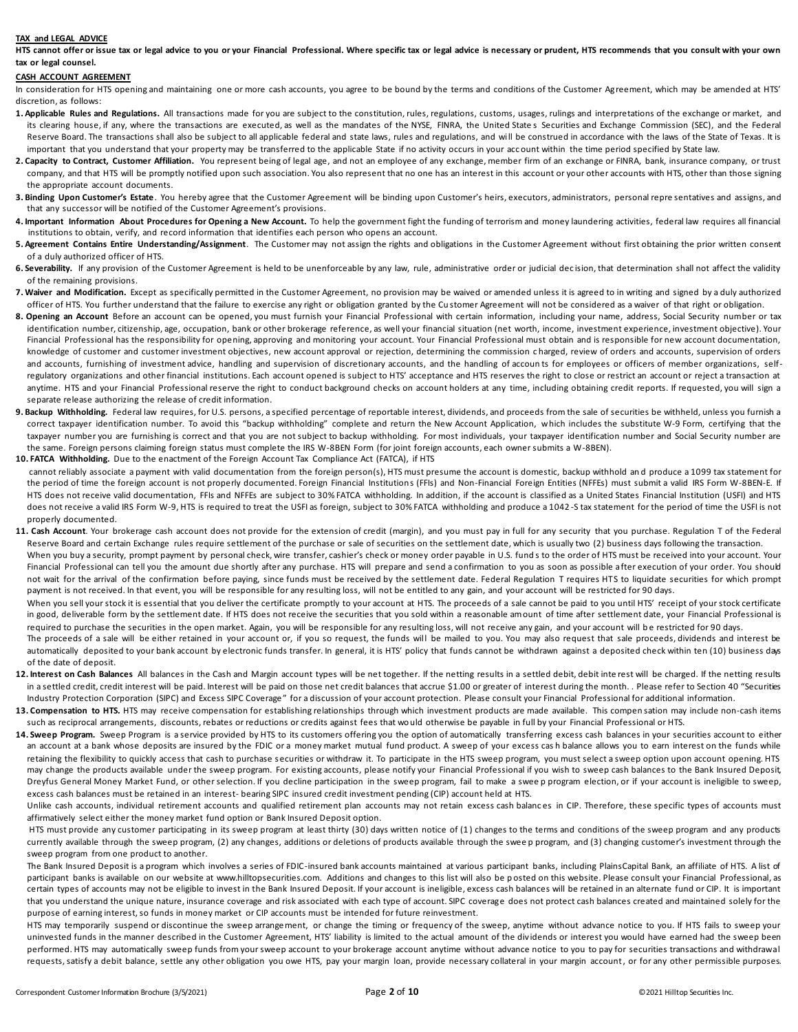#### **TAX and LEGAL ADVICE**

**HTS cannot offer or issue tax or legal advice to you or your Financial Professional. Where specific tax or legal advice is necessary or prudent, HTS recommends that you consult with your own tax or legal counsel.**

# **CASH ACCOUNT AGREEMENT**

In consideration for HTS opening and maintaining one or more cash accounts, you agree to be bound by the terms and conditions of the Customer Agreement, which may be amended at HTS' discretion, as follows:

- **1. Applicable Rules and Regulations.** All transactions made for you are subject to the constitution, rules, regulations, customs, usages, rulings and interpretations of the exchange or market, and its clearing house, if any, where the transactions are executed, as well as the mandates of the NYSE, FINRA, the United States Securities and Exchange Commission (SEC), and the Federal Reserve Board. The transactions shall also be subject to all applicable federal and state laws, rules and regulations, and will be construed in accordance with the laws of the State of Texas. It is important that you understand that your property may be transferred to the applicable State if no activity occurs in your acc ount within the time period specified by State law.
- 2. Capacity to Contract, Customer Affiliation. You represent being of legal age, and not an employee of any exchange, member firm of an exchange or FINRA, bank, insurance company, or trust company, and that HTS will be promptly notified upon such association. You also represent that no one has an interest in this account or your other accounts with HTS, other than those signing the appropriate account documents.
- **3. Binding Upon Customer's Estate**. You hereby agree that the Customer Agreement will be binding upon Customer's heirs, executors, administrators, personal repre sentatives and assigns, and that any successor will be notified of the Customer Agreement's provisions.
- 4. Important Information About Procedures for Opening a New Account. To help the government fight the funding of terrorism and money laundering activities, federal law requires all financial institutions to obtain, verify, and record information that identifies each person who opens an account.
- **5. Agreement Contains Entire Understanding/Assignment**. The Customer may not assign the rights and obligations in the Customer Agreement without first obtaining the prior written consent of a duly authorized officer of HTS.
- 6. Severability. If any provision of the Customer Agreement is held to be unenforceable by any law, rule, administrative order or judicial decision, that determination shall not affect the validity of the remaining provisions.
- **7. Waiver and Modification.** Except as specifically permitted in the Customer Agreement, no provision may be waived or amended unless it is agreed to in writing and signed by a duly authorized officer of HTS. You further understand that the failure to exercise any right or obligation granted by the Cu stomer Agreement will not be considered as a waiver of that right or obligation.
- **8. Opening an Account** Before an account can be opened, you must furnish your Financial Professional with certain information, including your name, address, Social Security number or tax identification number, citizenship, age, occupation, bank or other brokerage reference, as well your financial situation (net worth, income, investment experience, investment objective). Your Financial Professional has the responsibility for opening, approving and monitoring your account. Your Financial Professional must obtain and is responsible for new account documentation, knowledge of customer and customer investment objectives, new account approval or rejection, determining the commission c harged, review of orders and accounts, supervision of orders and accounts, furnishing of investment advice, handling and supervision of discretionary accounts, and the handling of accounts for employees or officers of member organizations, selfregulatory organizations and other financial institutions. Each account opened is subject to HTS' acceptance and HTS reserves the right to close or restrict an account or reject a transaction at anytime. HTS and your Financial Professional reserve the right to conduct background checks on account holders at any time, including obtaining credit reports. If requested, you will sign a separate release authorizing the release of credit information.
- **9. Backup Withholding.** Federal law requires, for U.S. persons, a specified percentage of reportable interest, dividends, and proceeds from the sale of securities be withheld, unless you furnish a correct taxpayer identification number. To avoid this "backup withholding" complete and return the New Account Application, which includes the substitute W-9 Form, certifying that the taxpayer number you are furnishing is correct and that you are not subject to backup withholding. For most individuals, your taxpayer identification number and Social Security number are the same. Foreign persons claiming foreign status must complete the IRS W-8BEN Form (for joint foreign accounts, each owner submits a W-8BEN).
- **10. FATCA Withholding.** Due to the enactment of the Foreign Account Tax Compliance Act (FATCA), if HTS cannot reliably associate a payment with valid documentation from the foreign person(s), HTS must presume the account is domestic, backup withhold and produce a 1099 tax statement for the period of time the foreign account is not properly documented. Foreign Financial Institutions (FFIs) and Non-Financial Foreign Entities (NFFEs) must submit a valid IRS Form W-8BEN-E. If HTS does not receive valid documentation, FFIs and NFFEs are subject to 30% FATCA withholding. In addition, if the account is classified as a United States Financial Institution (USFI) and HTS does not receive a valid IRS Form W-9, HTS is required to treat the USFI as foreign, subject to 30% FATCA withholding and produce a 1042-S tax statement for the period of time the USFI is not properly documented.
- **11. Cash Account**. Your brokerage cash account does not provide for the extension of credit (margin), and you must pay in full for any security that you purchase. Regulation T of the Federal Reserve Board and certain Exchange rules require settlement of the purchase or sale of securities on the settlement date, which is usually two (2) business days following the transaction. When you buy a security, prompt payment by personal check, wire transfer, cashier's check or money order payable in U.S. fund s to the order of HTS must be received into your account. Your Financial Professional can tell you the amount due shortly after any purchase. HTS will prepare and send a confirmation to you as soon as possible after execution of your order. You should not wait for the arrival of the confirmation before paying, since funds must be received by the settlement date. Federal Regulation T requires HTS to liquidate securities for which prompt
- payment is not received. In that event, you will be responsible for any resulting loss, will not be entitled to any gain, and your account will be restricted for 90 days. When you sell your stock it is essential that you deliver the certificate promptly to your account at HTS. The proceeds of a sale cannot be paid to you until HTS' receipt of your stock certificate in good, deliverable form by the settlement date. If HTS does not receive the securities that you sold within a reasonable amount of time after settlement date, your Financial Professional is required to purchase the securities in the open market. Again, you will be responsible for any resulting loss, will not receive any gain, and your account will be restricted for 90 days.
- The proceeds of a sale will be either retained in your account or, if you so request, the funds will be mailed to you. You may also request that sale proceeds, dividends and interest be automatically deposited to your bank account by electronic funds transfer. In general, it is HTS' policy that funds cannot be withdrawn against a deposited check within ten (10) business days of the date of deposit.
- 12. Interest on Cash Balances All balances in the Cash and Margin account types will be net together. If the netting results in a settled debit, debit inte rest will be charged. If the netting results in a settled credit, credit interest will be paid. Interest will be paid on those net credit balances that accrue \$1.00 or greater of interest during the month. . Please refer to Section 40 "Securities Industry Protection Corporation (SIPC) and Excess SIPC Coverage" for a discussion of your account protection. Please consult your Financial Professional for additional information.
- 13. Compensation to HTS. HTS may receive compensation for establishing relationships through which investment products are made available. This compen sation may include non-cash items such as reciprocal arrangements, discounts, rebates or reductions or credits against fees that wo uld otherwise be payable in full by your Financial Professional or HTS.
- 14. Sweep Program. Sweep Program is a service provided by HTS to its customers offering you the option of automatically transferring excess cash balances in your securities account to either an account at a bank whose deposits are insured by the FDIC or a money market mutual fund product. A sweep of your excess cash balance allows you to earn interest on the funds while retaining the flexibility to quickly access that cash to purchase securities or withdraw it. To participate in the HTS sweep program, you must select a sweep option upon account opening. HTS may change the products available under the sweep program. For existing accounts, please notify your Financial Professional if you wish to sweep cash balances to the Bank Insured Deposit, Dreyfus General Money Market Fund, or other selection. If you decline participation in the sweep program, fail to make a sweep program election, or if your account is ineligible to sweep, excess cash balances must be retained in an interest- bearing SIPC insured credit investment pending (CIP) account held at HTS.

Unlike cash accounts, individual retirement accounts and qualified retirement plan accounts may not retain excess cash balances in CIP. Therefore, these specific types of accounts must affirmatively select either the money market fund option or Bank Insured Deposit option.

 HTS must provide any customer participating in its sweep program at least thirty (30) days written notice of (1 ) changes to the terms and conditions of the sweep program and any products currently available through the sweep program, (2) any changes, additions or deletions of products available through the swee p program, and (3) changing customer's investment through the sweep program from one product to another.

The Bank Insured Deposit is a program which involves a series of FDIC-insured bank accounts maintained at various participant banks, including PlainsCapital Bank, an affiliate of HTS. A list of participant banks is available on our website at www.hilltopsecurities.com. Additions and changes to this list will also be posted on this website. Please consult your Financial Professional, as certain types of accounts may not be eligible to invest in the Bank Insured Deposit. If your account is ineligible, excess cash balances will be retained in an alternate fund or CIP. It is important that you understand the unique nature, insurance coverage and risk associated with each type of account. SIPC coverage does not protect cash balances created and maintained solely for the purpose of earning interest, so funds in money market or CIP accounts must be intended for future reinvestment.

 HTS may temporarily suspend or discontinue the sweep arrangement, or change the timing or frequency of the sweep, anytime without advance notice to you. If HTS fails to sweep your uninvested funds in the manner described in the Customer Agreement, HTS' liability is limited to the actual amount of the div idends or interest you would have earned had the sweep been performed. HTS may automatically sweep funds from your sweep account to your brokerage account anytime without advance notice to you to pay for securities transactions and withdrawal requests, satisfy a debit balance, settle any other obligation you owe HTS, pay your margin loan, provide necessary collateral in your margin account, or for any other permissible purposes.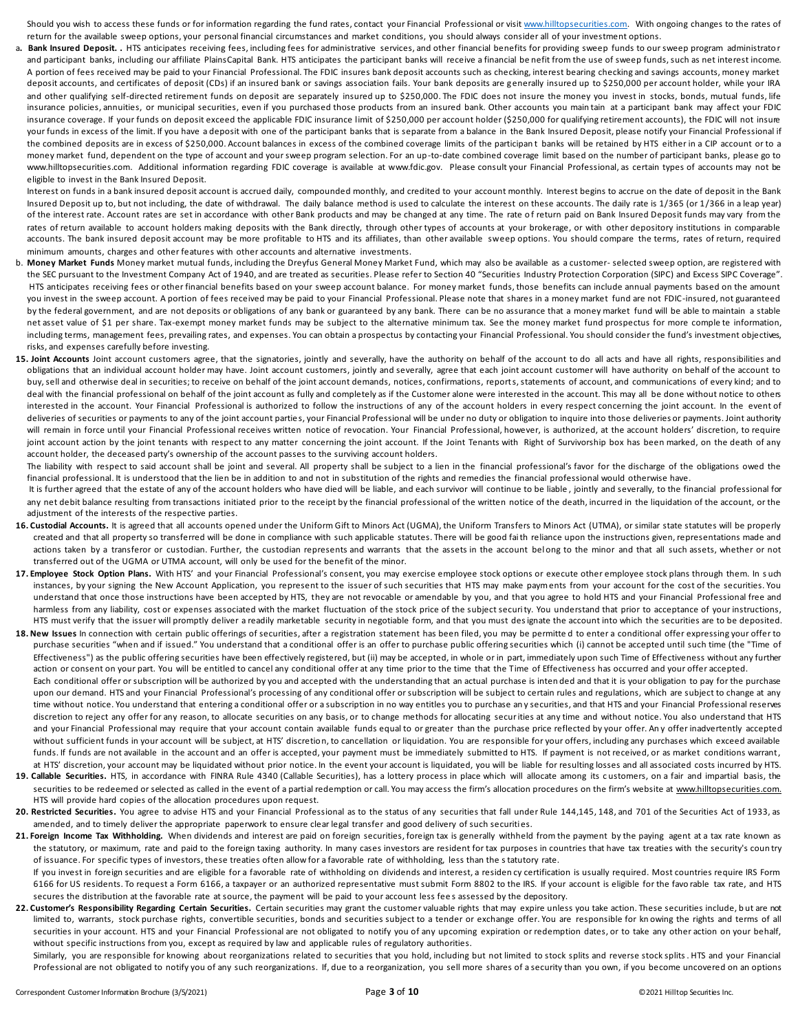Should you wish to access these funds or for information regarding the fund rates, contact your Financial Professional or visi[t www.hilltopsecurities.com.](http://www.hilltopsecurities.com/) With ongoing changes to the rates of return for the available sweep options, your personal financial circumstances and market conditions, you should always consider all of your investment options.

a. Bank Insured Deposit. . HTS anticipates receiving fees, including fees for administrative services, and other financial benefits for providing sweep funds to our sweep program administrator and participant banks, including our affiliate PlainsCapital Bank. HTS anticipates the participant banks will receive a financial be nefit from the use of sweep funds, such as net interest income. A portion of fees received may be paid to your Financial Professional. The FDIC insures bank deposit accounts such as checking, interest bearing checking and savings accounts, money market deposit accounts, and certificates of deposit (CDs) if an insured bank or savings association fails. Your bank deposits are generally insured up to \$250,000 per account holder, while your IRA and other qualifying self-directed retirement funds on deposit are separately insured up to \$250,000. The FDIC does not insure the money you invest in stocks, bonds, mutual funds, life insurance policies, annuities, or municipal securities, even if you purchased those products from an insured bank. Other accounts you main tain at a participant bank may affect your FDIC insurance coverage. If your funds on deposit exceed the applicable FDIC insurance limit of \$250,000 per account holder (\$250,000 for qualifying retirement accounts), the FDIC will not insure your funds in excess of the limit. If you have a deposit with one of the participant banks that is separate from a balance in the Bank Insured Deposit, please notify your Financial Professional if the combined deposits are in excess of \$250,000. Account balances in excess of the combined coverage limits of the participan t banks will be retained by HTS either in a CIP account or to a money market fund, dependent on the type of account and your sweep program selection. For an up-to-date combined coverage limit based on the number of participant banks, please go to www.hilltopsecurities.com. Additional information regarding FDIC coverage is available at www.fdic.gov. Please consult your Financial Professional, as certain types of accounts may not be eligible to invest in the Bank Insured Deposit.

 Interest on funds in a bank insured deposit account is accrued daily, compounded monthly, and credited to your account monthly. Interest begins to accrue on the date of deposit in the Bank Insured Deposit up to, but not including, the date of withdrawal. The daily balance method is used to calculate the interest on these accounts. The daily rate is 1/365 (or 1/366 in a leap year) of the interest rate. Account rates are set in accordance with other Bank products and may be changed at any time. The rate of return paid on Bank Insured Deposit funds may vary from the rates of return available to account holders making deposits with the Bank directly, through other types of accounts at your brokerage, or with other depository institutions in comparable accounts. The bank insured deposit account may be more profitable to HTS and its affiliates, than other available sweep options. You should compare the terms, rates of return, required minimum amounts, charges and other features with other accounts and alternative investments.

- b. **Money Market Funds** Money market mutual funds, including the Dreyfus General Money Market Fund, which may also be available as a customer- selected sweep option, are registered with the SEC pursuant to the Investment Company Act of 1940, and are treated as securities. Please refer to Section 40 "Securities Industry Protection Corporation (SIPC) and Excess SIPC Coverage". HTS anticipates receiving fees or other financial benefits based on your sweep account balance. For money market funds, those benefits can include annual payments based on the amount you invest in the sweep account. A portion of fees received may be paid to your Financial Professional. Please note that shares in a money market fund are not FDIC-insured, not guaranteed by the federal government, and are not deposits or obligations of any bank or guaranteed by any bank. There can be no assurance that a money market fund will be able to maintain a stable net asset value of \$1 per share. Tax-exempt money market funds may be subject to the alternative minimum tax. See the money market fund prospectus for more comple te information, including terms, management fees, prevailing rates, and expenses. You can obtain a prospectus by contacting your Financial Professional. You should consider the fund's investment objectives, risks, and expenses carefully before investing.
- 15. Joint Accounts Joint account customers agree, that the signatories, jointly and severally, have the authority on behalf of the account to do all acts and have all rights, responsibilities and obligations that an individual account holder may have. Joint account customers, jointly and severally, agree that each joint account customer will have authority on behalf of the account to buy, sell and otherwise deal in securities; to receive on behalf of the joint account demands, notices, confirmations, reports, statements of account, and communications of every kind; and to deal with the financial professional on behalf of the joint account as fully and completely as if the Customer alone were interested in the account. This may all be done without notice to others interested in the account. Your Financial Professional is authorized to follow the instructions of any of the account holders in every respect concerning the joint account. In the event of deliveries of securities or payments to any of the joint account parties, your Financial Professional will be under no duty or obligation to inquire into those deliveries or payments. Joint authority will remain in force until your Financial Professional receives written notice of revocation. Your Financial Professional, however, is authorized, at the account holders' discretion, to require joint account action by the joint tenants with respect to any matter concerning the joint account. If the Joint Tenants with Right of Survivorship box has been marked, on the death of any account holder, the deceased party's ownership of the account passes to the surviving account holders.

The liability with respect to said account shall be joint and several. All property shall be subject to a lien in the financial professional's favor for the discharge of the obligations owed the financial professional. It is understood that the lien be in addition to and not in substitution of the rights and remedies the financial professional would otherwise have.

It is further agreed that the estate of any of the account holders who have died will be liable, and each survivor will continue to be liable, jointly and severally, to the financial professional for any net debit balance resulting from transactions initiated prior to the receipt by the financial professional of the written notice of the death, incurred in the liquidation of the account, or the adjustment of the interests of the respective parties.

- **16. Custodial Accounts.** It is agreed that all accounts opened under the Uniform Gift to Minors Act (UGMA), the Uniform Transfers to Minors Act (UTMA), or similar state statutes will be properly created and that all property so transferred will be done in compliance with such applicable statutes. There will be good faith reliance upon the instructions given, representations made and actions taken by a transferor or custodian. Further, the custodian represents and warrants that the assets in the account bel ong to the minor and that all such assets, whether or not transferred out of the UGMA or UTMA account, will only be used for the benefit of the minor.
- 17. Employee Stock Option Plans. With HTS' and your Financial Professional's consent, you may exercise employee stock options or execute other employee stock plans through them. In such instances, by your signing the New Account Application, you represent to the issuer of such securities that HTS may make payments from your account for the cost of the securities. You understand that once those instructions have been accepted by HTS, they are not revocable or amendable by you, and that you agree to hold HTS and your Financial Professional free and harmless from any liability, cost or expenses associated with the market fluctuation of the stock price of the subject security. You understand that prior to acceptance of your instructions, HTS must verify that the issuer will promptly deliver a readily marketable security in negotiable form, and that you must designate the account into which the securities are to be deposited.
- 18. New Issues In connection with certain public offerings of securities, after a registration statement has been filed, you may be permitted to enter a conditional offer expressing your offer to purchase securities "when and if issued." You understand that a conditional offer is an offer to purchase public offering securities which (i) cannot be accepted until such time (the "Time of Effectiveness") as the public offering securities have been effectively registered, but (ii) may be accepted, in whole or in part, immediately upon such Time of Effectiveness without any further action or consent on your part. You will be entitled to cancel any conditional offer at any time prior to the time that the Time of Effectiveness has occurred and your offer accepted. Each conditional offer or subscription will be authorized by you and accepted with the understanding that an actual purchase is inten ded and that it is your obligation to pay for the purchase upon our demand. HTS and your Financial Professional's processing of any conditional offer or subscription will be subject to certain rules and regulations, which are subject to change at any time without notice. You understand that entering a conditional offer or a subscription in no way entitles you to purchase an y securities, and that HTS and your Financial Professional reserves discretion to reject any offer for any reason, to allocate securities on any basis, or to change methods for allocating securities at any time and without notice. You also understand that HTS and your Financial Professional may require that your account contain available funds equal to or greater than the purchase price reflected by your offer. An y offer inadvertently accepted without sufficient funds in your account will be subject, at HTS' discretion, to cancellation or liquidation. You are responsible for your offers, including any purchases which exceed available funds. If funds are not available in the account and an offer is accepted, your payment must be immediately submitted to HTS. If payment is not received, or as market conditions warrant, at HTS' discretion, your account may be liquidated without prior notice. In the event your account is liquidated, you will be liable for resulting losses and all associated costs incurred by HTS.
- 19. Callable Securities. HTS, in accordance with FINRA Rule 4340 (Callable Securities), has a lottery process in place which will allocate among its customers, on a fair and impartial basis, the securities to be redeemed or selected as called in the event of a partial redemption or call. You may access the firm's allocation procedures on the firm's website at www.hilltopsecurities.com. HTS will provide hard copies of the allocation procedures upon request.
- **20. Restricted Securities.** You agree to advise HTS and your Financial Professional as to the status of any securities that fall under Rule 144,145, 148, and 701 of the Securities Act of 1933, as amended, and to timely deliver the appropriate paperwork to ensure clear legal transfer and good delivery of such securities.

21. Foreign Income Tax Withholding. When dividends and interest are paid on foreign securities, foreign tax is generally withheld from the payment by the paying agent at a tax rate known as the statutory, or maximum, rate and paid to the foreign taxing authority. In many cases investors are resident for tax purposes in countries that have tax treaties with the security's coun try of issuance. For specific types of investors, these treaties often allow for a favorable rate of withholding, less than the statutory rate.

 If you invest in foreign securities and are eligible for a favorable rate of withholding on dividends and interest, a residen cy certification is usually required. Most countries require IRS Form 6166 for US residents. To request a Form 6166, a taxpayer or an authorized representative must submit Form 8802 to the IRS. If your account is eligible for the favo rable tax rate, and HTS secures the distribution at the favorable rate at source, the payment will be paid to your account less fee s assessed by the depository.

22. Customer's Responsibility Regarding Certain Securities. Certain securities may grant the customer valuable rights that may expire unless you take action. These securities include, but are not limited to, warrants, stock purchase rights, convertible securities, bonds and securities subject to a tender or exchange offer. You are responsible for kn owing the rights and terms of all securities in your account. HTS and your Financial Professional are not obligated to notify you of any upcoming expiration or redemption dates, or to take any other action on your behalf, without specific instructions from you, except as required by law and applicable rules of regulatory authorities.

 Similarly, you are responsible for knowing about reorganizations related to securities that you hold, including but not limited to stock splits and reverse stock splits. HTS and your Financial Professional are not obligated to notify you of any such reorganizations. If, due to a reorganization, you sell more shares of a security than you own, if you become uncovered on an options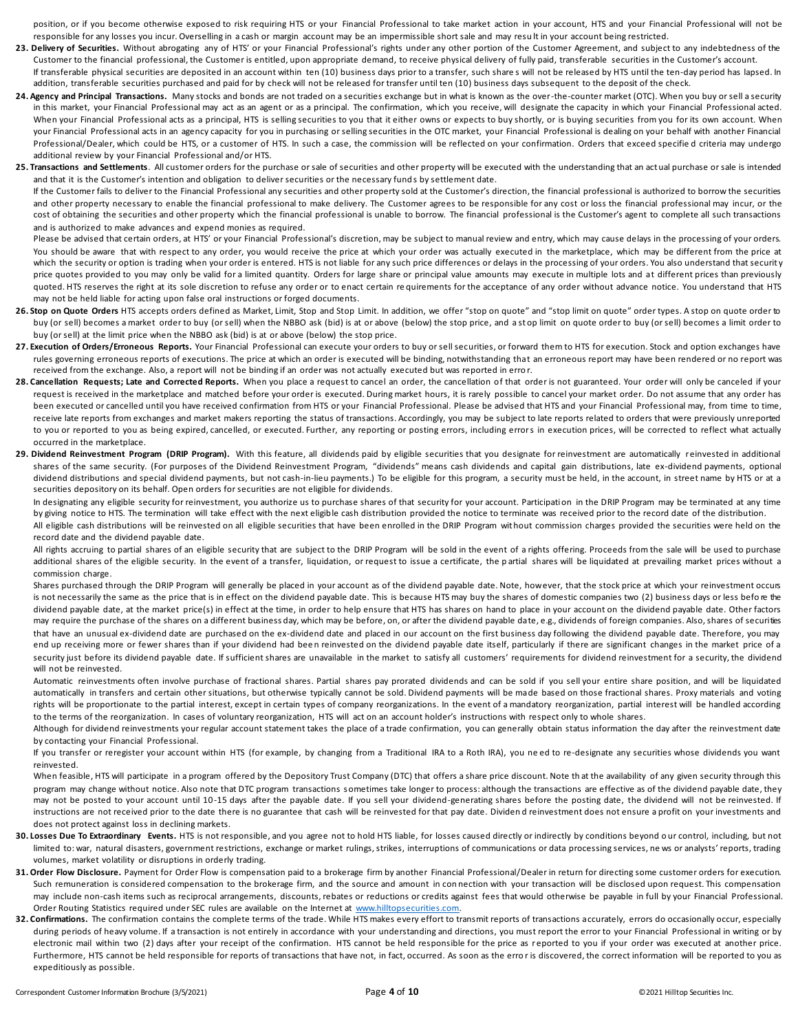position, or if you become otherwise exposed to risk requiring HTS or your Financial Professional to take market action in your account, HTS and your Financial Professional will not be responsible for any losses you incur. Overselling in a cash or margin account may be an impermissible short sale and may resu lt in your account being restricted.

- 23. Delivery of Securities. Without abrogating any of HTS' or your Financial Professional's rights under any other portion of the Customer Agreement, and subject to any indebtedness of the Customer to the financial professional, the Customer is entitled, upon appropriate demand, to receive physical delivery of fully paid, transferable securities in the Customer's account.
- If transferable physical securities are deposited in an account within ten (10) business days prior to a transfer, such share s will not be released by HTS until the ten-day period has lapsed. In addition, transferable securities purchased and paid for by check will not be released for transfer until ten (10) business days subsequent to the deposit of the check.
- **24. Agency and Principal Transactions.** Many stocks and bonds are not traded on a securities exchange but in what is known as the over-the-counter market (OTC). When you buy or sell a security in this market, your Financial Professional may act as an agent or as a principal. The confirmation, which you receive, will designate the capacity in which your Financial Professional acted. When your Financial Professional acts as a principal, HTS is selling securities to you that it either owns or expects to buy shortly, or is buying securities from you for its own account. When your Financial Professional acts in an agency capacity for you in purchasing or selling securities in the OTC market, your Financial Professional is dealing on your behalf with another Financial Professional/Dealer, which could be HTS, or a customer of HTS. In such a case, the commission will be reflected on your confirmation. Orders that exceed specifie d criteria may undergo additional review by your Financial Professional and/or HTS.
- **25. Transactions and Settlements**. All customer orders for the purchase or sale of securities and other property will be executed with the understanding that an actual purchase or sale is intended and that it is the Customer's intention and obligation to deliver securities or the necessary funds by settlement date.

 If the Customer fails to deliver to the Financial Professional any securities and other property sold at the Customer's direction, the financial professional is authorized to borrow the securities and other property necessary to enable the financial professional to make delivery. The Customer agrees to be responsible for any cost or loss the financial professional may incur, or the cost of obtaining the securities and other property which the financial professional is unable to borrow. The financial professional is the Customer's agent to complete all such transactions and is authorized to make advances and expend monies as required.

Please be advised that certain orders, at HTS' or your Financial Professional's discretion, may be subject to manual review and entry, which may cause delays in the processing of your orders. You should be aware that with respect to any order, you would receive the price at which your order was actually executed in the marketplace, which may be different from the price at which the security or option is trading when your order is entered. HTS is not liable for any such price differences or delays in the processing of your orders. You also understand that security price quotes provided to you may only be valid for a limited quantity. Orders for large share or principal value amounts may execute in multiple lots and at different prices than previously quoted. HTS reserves the right at its sole discretion to refuse any order or to enact certain re quirements for the acceptance of any order without advance notice. You understand that HTS may not be held liable for acting upon false oral instructions or forged documents.

- 26. Stop on Quote Orders HTS accepts orders defined as Market, Limit, Stop and Stop Limit. In addition, we offer "stop on quote" and "stop limit on quote" order types. A stop on quote order to buy (or sell) becomes a market order to buy (or sell) when the NBBO ask (bid) is at or above (below) the stop price, and a st op limit on quote order to buy (or sell) becomes a limit order to buy (or sell) at the limit price when the NBBO ask (bid) is at or above (below) the stop price.
- 27. Execution of Orders/Erroneous Reports. Your Financial Professional can execute your orders to buy or sell securities, or forward them to HTS for execution. Stock and option exchanges have rules governing erroneous reports of executions. The price at which an order is executed will be binding, notwithstanding that an erroneous report may have been rendered or no report was received from the exchange. Also, a report will not be binding if an order was not actually executed but was reported in erro r.
- 28. Cancellation Requests; Late and Corrected Reports. When you place a request to cancel an order, the cancellation of that order is not guaranteed. Your order will only be canceled if your request is received in the marketplace and matched before your order is executed. During market hours, it is rarely possible to cancel your market order. Do not assume that any order has been executed or cancelled until you have received confirmation from HTS or your Financial Professional. Please be advised that HTS and your Financial Professional may, from time to time, receive late reports from exchanges and market makers reporting the status of transactions. Accordingly, you may be subject to late reports related to orders that were previously unreported to you or reported to you as being expired, cancelled, or executed. Further, any reporting or posting errors, including errors in execution prices, will be corrected to reflect what actually occurred in the marketplace.
- 29. Dividend Reinvestment Program (DRIP Program). With this feature, all dividends paid by eligible securities that you designate for reinvestment are automatically reinvested in additional shares of the same security. (For purposes of the Dividend Reinvestment Program, "dividends" means cash dividends and capital gain distributions, late ex-dividend payments, optional dividend distributions and special dividend payments, but not cash-in-lieu payments.) To be eligible for this program, a security must be held, in the account, in street name by HTS or at a securities depository on its behalf. Open orders for securities are not eligible for dividends.

In designating any eligible security for reinvestment, you authorize us to purchase shares of that security for your account. Participation in the DRIP Program may be terminated at any time by giving notice to HTS. The termination will take effect with the next eligible cash distribution provided the notice to terminate was received prior to the record date of the distribution. All eligible cash distributions will be reinvested on all eligible securities that have been enrolled in the DRIP Program without commission charges provided the securities were held on the record date and the dividend payable date.

All rights accruing to partial shares of an eligible security that are subject to the DRIP Program will be sold in the event of a rights offering. Proceeds from the sale will be used to purchase additional shares of the eligible security. In the event of a transfer, liquidation, or request to issue a certificate, the partial shares will be liquidated at prevailing market prices without a commission charge.

 Shares purchased through the DRIP Program will generally be placed in your account as of the dividend payable date. Note, however, that the stock price at which your reinvestment occurs is not necessarily the same as the price that is in effect on the dividend payable date. This is because HTS may buy the shares of domestic companies two (2) business days or less before the dividend payable date, at the market price(s) in effect at the time, in order to help ensure that HTS has shares on hand to place in your account on the dividend payable date. Other factors may require the purchase of the shares on a different business day, which may be before, on, or after the dividend payable date, e.g., dividends of foreign companies. Also, shares of securities that have an unusual ex-dividend date are purchased on the ex-dividend date and placed in our account on the first business day following the dividend payable date. Therefore, you may end up receiving more or fewer shares than if your dividend had been reinvested on the dividend payable date itself, particularly if there are significant changes in the market price of a security just before its dividend payable date. If sufficient shares are unavailable in the market to satisfy all customers' requirements for dividend reinvestment for a security, the dividend will not be reinvested.

Automatic reinvestments often involve purchase of fractional shares. Partial shares pay prorated dividends and can be sold if you sell your entire share position, and will be liquidated automatically in transfers and certain other situations, but otherwise typically cannot be sold. Dividend payments will be made based on those fractional shares. Proxy materials and voting rights will be proportionate to the partial interest, except in certain types of company reorganizations. In the event of a mandatory reorganization, partial interest will be handled according to the terms of the reorganization. In cases of voluntary reorganization, HTS will act on an account holder's instructions with respect only to whole shares.

Although for dividend reinvestments your regular account statement takes the place of a trade confirmation, you can generally obtain status information the day after the reinvestment date by contacting your Financial Professional.

 If you transfer or reregister your account within HTS (for example, by changing from a Traditional IRA to a Roth IRA), you ne ed to re-designate any securities whose dividends you want reinvested.

When feasible, HTS will participate in a program offered by the Depository Trust Company (DTC) that offers a share price discount. Note that the availability of any given security through this program may change without notice. Also note that DTC program transactions sometimes take longer to process: although the transactions are effective as of the dividend payable date, they may not be posted to your account until 10-15 days after the payable date. If you sell your dividend-generating shares before the posting date, the dividend will not be reinvested. If instructions are not received prior to the date there is no guarantee that cash will be reinvested for that pay date. Dividend reinvestment does not ensure a profit on your investments and does not protect against loss in declining markets.

- 30. Losses Due To Extraordinary Events. HTS is not responsible, and you agree not to hold HTS liable, for losses caused directly or indirectly by conditions beyond o ur control, including, but not limited to: war, natural disasters, government restrictions, exchange or market rulings, strikes, interruptions of communications or data processing services, ne ws or analysts' reports, trading volumes, market volatility or disruptions in orderly trading.
- **31. Order Flow Disclosure.** Payment for Order Flow is compensation paid to a brokerage firm by another Financial Professional/Dealer in return for directing some customer orders for execution. Such remuneration is considered compensation to the brokerage firm, and the source and amount in connection with your transaction will be disclosed upon request. This compensation may include non-cash items such as reciprocal arrangements, discounts, rebates or reductions or credits against fees that would otherwise be payable in full by your Financial Professional. Order Routing Statistics required under SEC rules are available on the Internet at [www.hilltopsecurities.com.](http://www.hilltopsecurities.com/)
- 32. Confirmations. The confirmation contains the complete terms of the trade. While HTS makes every effort to transmit reports of transactions accurately, errors do occasionally occur, especially during periods of heavy volume. If a transaction is not entirely in accordance with your understanding and directions, you must report the error to your Financial Professional in writing or by electronic mail within two (2) days after your receipt of the confirmation. HTS cannot be held responsible for the price as r eported to you if your order was executed at another price. Furthermore, HTS cannot be held responsible for reports of transactions that have not, in fact, occurred. As soon as the error is discovered, the correct information will be reported to you as expeditiously as possible.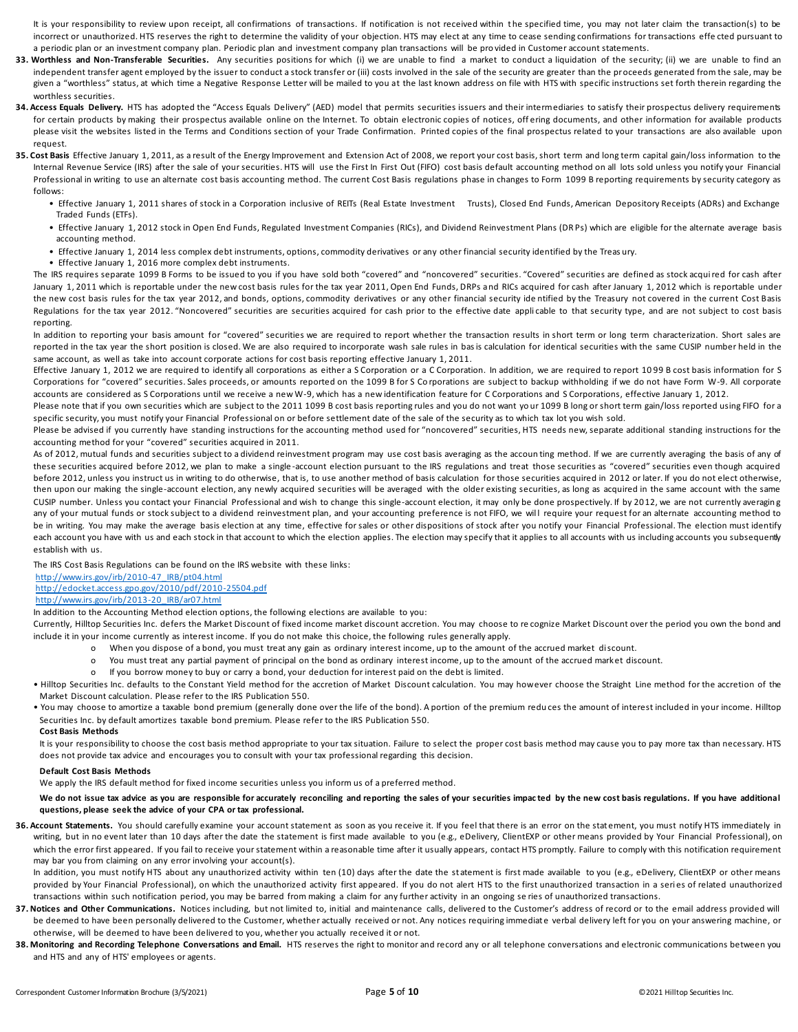It is your responsibility to review upon receipt, all confirmations of transactions. If notification is not received within the specified time, you may not later claim the transaction(s) to be incorrect or unauthorized. HTS reserves the right to determine the validity of your objection. HTS may elect at any time to cease sending confirmations for transactions effe cted pursuant to a periodic plan or an investment company plan. Periodic plan and investment company plan transactions will be pro vided in Customer account statements.

- **33. Worthless and Non-Transferable Securities.** Any securities positions for which (i) we are unable to find a market to conduct a liquidation of the security; (ii) we are unable to find an independent transfer agent employed by the issuer to conduct a stock transfer or (iii) costs involved in the sale of the security are greater than the proceeds generated from the sale, may be given a "worthless" status, at which time a Negative Response Letter will be mailed to you at the last known address on file with HTS with specific instructions set forth therein regarding the worthless securities.
- 34. Access Equals Delivery. HTS has adopted the "Access Equals Delivery" (AED) model that permits securities issuers and their intermediaries to satisfy their prospectus delivery requirements for certain products by making their prospectus available online on the Internet. To obtain electronic copies of notices, offering documents, and other information for available products please visit the websites listed in the Terms and Conditions section of your Trade Confirmation. Printed copies of the final prospectus related to your transactions are also available upon request.
- **35. Cost Basis** Effective January 1, 2011, as a result of the Energy Improvement and Extension Act of 2008, we report your cost basis, short term and long term capital gain/loss information to the Internal Revenue Service (IRS) after the sale of your securities. HTS will use the First In First Out (FIFO) cost basis default accounting method on all lots sold unless you notify your Financial Professional in writing to use an alternate cost basis accounting method. The current Cost Basis regulations phase in changes to Form 1099 B reporting requirements by security category as follows:
	- Effective January 1, 2011 shares of stock in a Corporation inclusive of REITs (Real Estate Investment Trusts), Closed End Funds, American Depository Receipts (ADRs) and Exchange Traded Funds (ETFs).
	- Effective January 1, 2012 stock in Open End Funds, Regulated Investment Companies (RICs), and Dividend Reinvestment Plans (DR Ps) which are eligible for the alternate average basis accounting method.
	- Effective January 1, 2014 less complex debt instruments, options, commodity derivatives or any other financial security identified by the Treas ury.
	- Effective January 1, 2016 more complex debt instruments.

 The IRS requires separate 1099 B Forms to be issued to you if you have sold both "covered" and "noncovered" securities. "Covered" securities are defined as stock acquired for cash after January 1, 2011 which is reportable under the new cost basis rules for the tax year 2011, Open End Funds, DRPs and RICs acquired for cash after January 1, 2012 which is reportable under the new cost basis rules for the tax year 2012, and bonds, options, commodity derivatives or any other financial security ide ntified by the Treasury not covered in the current Cost Basis Regulations for the tax year 2012. "Noncovered" securities are securities acquired for cash prior to the effective date appli cable to that security type, and are not subject to cost basis reporting.

In addition to reporting your basis amount for "covered" securities we are required to report whether the transaction results in short term or long term characterization. Short sales are reported in the tax year the short position is closed. We are also required to incorporate wash sale rules in basis calculation for identical securities with the same CUSIP number held in the same account, as well as take into account corporate actions for cost basis reporting effective January 1, 2011.

Effective January 1, 2012 we are required to identify all corporations as either a S Corporation or a C Corporation. In addition, we are required to report 1099 B cost basis information for S Corporations for "covered" securities. Sales proceeds, or amounts reported on the 1099 B for S Co rporations are subject to backup withholding if we do not have Form W-9. All corporate accounts are considered as S Corporations until we receive a new W-9, which has a new identification feature for C Corporations and S Corporations, effective January 1, 2012.

Please note that if you own securities which are subject to the 2011 1099 B cost basis reporting rules and you do not want your 1099 B long or short term gain/loss reported using FIFO for a specific security, you must notify your Financial Professional on or before settlement date of the sale of the security as to which tax lot you wish sold.

Please be advised if you currently have standing instructions for the accounting method used for "noncovered" securities, HTS needs new, separate additional standing instructions for the accounting method for your "covered" securities acquired in 2011.

As of 2012, mutual funds and securities subject to a dividend reinvestment program may use cost basis averaging as the accoun ting method. If we are currently averaging the basis of any of these securities acquired before 2012, we plan to make a single -account election pursuant to the IRS regulations and treat those securities as "covered" securities even though acquired before 2012, unless you instruct us in writing to do otherwise, that is, to use another method of basis calculation for those securities acquired in 2012 or later. If you do not elect otherwise, then upon our making the single-account election, any newly acquired securities will be averaged with the older existing securities, as long as acquired in the same account with the same CUSIP number. Unless you contact your Financial Professional and wish to change this single-account election, it may only be done prospectively. If by 2012, we are not currently averaging any of your mutual funds or stock subject to a dividend reinvestment plan, and your accounting preference is not FIFO, we will require your request for an alternate accounting method to be in writing. You may make the average basis election at any time, effective for sales or other dispositions of stock after you notify your Financial Professional. The election must identify each account you have with us and each stock in that account to which the election applies. The election may specify that it applies to all accounts with us including accounts you subsequently establish with us.

The IRS Cost Basis Regulations can be found on the IRS website with these links:

#### [http://www.irs.gov/irb/2010-47\\_IRB/pt04.html](http://www.irs.gov/irb/2010-47_IRB/pt04.html) <http://edocket.access.gpo.gov/2010/pdf/2010-25504.pdf>

# [http://www.irs.gov/irb/2013-20\\_IRB/ar07.html](http://www.irs.gov/irb/2013-20_IRB/ar07.html)

# In addition to the Accounting Method election options, the following elections are available to you:

 Currently, Hilltop Securities Inc. defers the Market Discount of fixed income market discount accretion. You may choose to re cognize Market Discount over the period you own the bond and include it in your income currently as interest income. If you do not make this choice, the following rules generally apply.

- o When you dispose of a bond, you must treat any gain as ordinary interest income, up to the amount of the accrued market discount.
- o You must treat any partial payment of principal on the bond as ordinary interest income, up to the amount of the accrued market discount.
- o If you borrow money to buy or carry a bond, your deduction for interest paid on the debt is limited.

• Hilltop Securities Inc. defaults to the Constant Yield method for the accretion of Market Discount calculation. You may however choose the Straight Line method for the accretion of the Market Discount calculation. Please refer to the IRS Publication 550.

 • You may choose to amortize a taxable bond premium (generally done over the life of the bond). A portion of the premium redu ces the amount of interest included in your income. Hilltop Securities Inc. by default amortizes taxable bond premium. Please refer to the IRS Publication 550.

#### **Cost Basis Methods**

It is your responsibility to choose the cost basis method appropriate to your tax situation. Failure to select the proper cost basis method may cause you to pay more tax than necessary. HTS does not provide tax advice and encourages you to consult with your tax professional regarding this decision.

#### **Default Cost Basis Methods**

We apply the IRS default method for fixed income securities unless you inform us of a preferred method.

We do not issue tax advice as you are responsible for accurately reconciling and reporting the sales of your securities impacted by the new cost basis regulations. If you have additional **questions, please seek the advice of your CPA or tax professional.**

36. Account Statements. You should carefully examine your account statement as soon as you receive it. If you feel that there is an error on the stat ement, you must notify HTS immediately in writing, but in no event later than 10 days after the date the statement is first made available to you (e.g., eDelivery, ClientEXP or other means provided by Your Financial Professional), on which the error first appeared. If you fail to receive your statement within a reasonable time after it usually appears, contact HTS promptly. Failure to comply with this notification requirement may bar you from claiming on any error involving your account(s).

In addition, you must notify HTS about any unauthorized activity within ten (10) days after the date the statement is first made available to you (e.g., eDelivery, ClientEXP or other means provided by Your Financial Professional), on which the unauthorized activity first appeared. If you do not alert HTS to the first unauthorized transaction in a series of related unauthorized transactions within such notification period, you may be barred from making a claim for any further activity in an ongoing se ries of unauthorized transactions.

- 37. Notices and Other Communications. Notices including, but not limited to, initial and maintenance calls, delivered to the Customer's address of record or to the email address provided will be deemed to have been personally delivered to the Customer, whether actually received or not. Any notices requiring immediate verbal delivery left for you on your answering machine, or otherwise, will be deemed to have been delivered to you, whether you actually received it or not.
- 38. Monitoring and Recording Telephone Conversations and Email. HTS reserves the right to monitor and record any or all telephone conversations and electronic communications between you and HTS and any of HTS' employees or agents.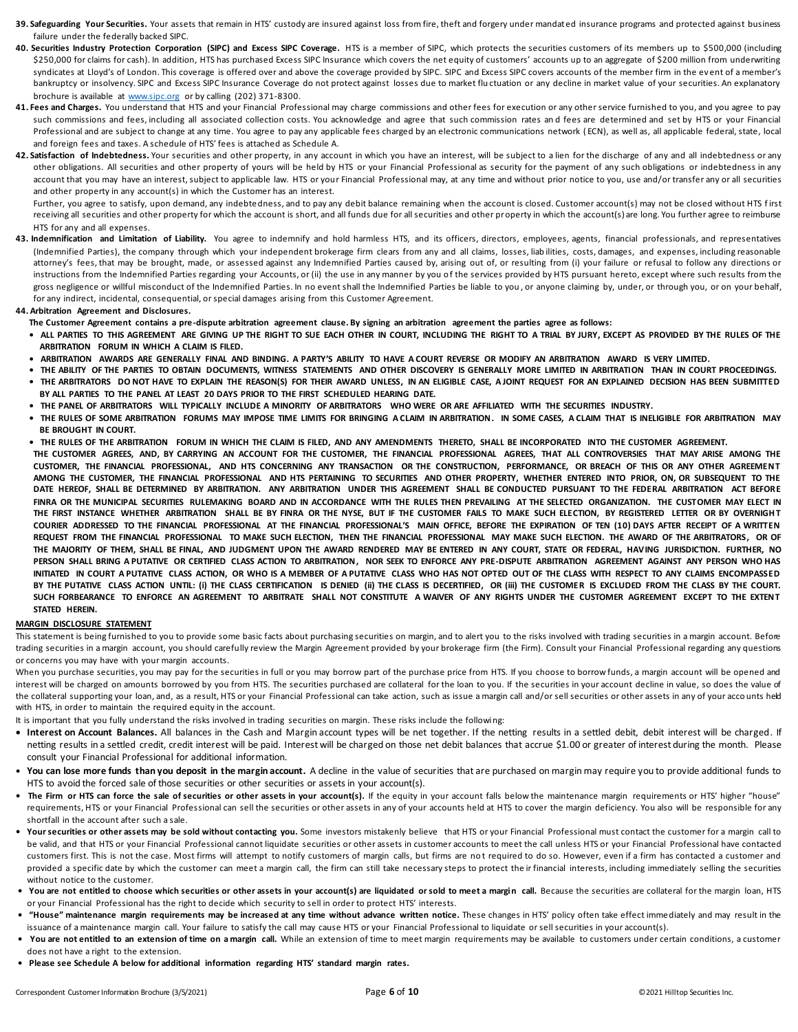- 39. Safeguarding Your Securities. Your assets that remain in HTS' custody are insured against loss from fire, theft and forgery under mandated insurance programs and protected against business failure under the federally backed SIPC.
- **40. Securities Industry Protection Corporation (SIPC) and Excess SIPC Coverage.** HTS is a member of SIPC, which protects the securities customers of its members up to \$500,000 (including \$250,000 for claims for cash). In addition, HTS has purchased Excess SIPC Insurance which covers the net equity of customers' accounts up to an aggregate of \$200 million from underwriting syndicates at Lloyd's of London. This coverage is offered over and above the coverage provided by SIPC. SIPC and Excess SIPC covers accounts of the member firm in the event of a member's bankruptcy or insolvency. SIPC and Excess SIPC Insurance Coverage do not protect against losses due to market fluctuation or any decline in market value of your securities. An explanatory brochure is available at [www.sipc.org](http://www.sipc.org/) or by calling (202) 371-8300.
- **41. Fees and Charges.** You understand that HTS and your Financial Professional may charge commissions and other fees for execution or any other service furnished to you, and you agree to pay such commissions and fees, including all associated collection costs. You acknowledge and agree that such commission rates and fees are determined and set by HTS or your Financial Professional and are subject to change at any time. You agree to pay any applicable fees charged by an electronic communications network (ECN), as well as, all applicable federal, state, local and foreign fees and taxes. A schedule of HTS' fees is attached as Schedule A.
- 42. Satisfaction of Indebtedness. Your securities and other property, in any account in which you have an interest, will be subject to a lien for the discharge of any and all indebtedness or any other obligations. All securities and other property of yours will be held by HTS or your Financial Professional as security for the payment of any such obligations or indebtedness in any account that you may have an interest, subject to applicable law. HTS or your Financial Professional may, at any time and without prior notice to you, use and/or transfer any or all securities and other property in any account(s) in which the Customer has an interest.

Further, you agree to satisfy, upon demand, any indebtedness, and to pay any debit balance remaining when the account is closed. Customer account(s) may not be closed without HTS first receiving all securities and other property for which the account is short, and all funds due for all securities and other property in which the account(s) are long. You further agree to reimburse HTS for any and all expenses.

43. Indemnification and Limitation of Liability. You agree to indemnify and hold harmless HTS, and its officers, directors, employees, agents, financial professionals, and representatives (Indemnified Parties), the company through which your independent brokerage firm clears from any and all claims, losses, liab ilities, costs, damages, and expenses, including reasonable attorney's fees, that may be brought, made, or assessed against any Indemnified Parties caused by, arising out of, or resulting from (i) your failure or refusal to follow any directions or instructions from the Indemnified Parties regarding your Accounts, or (ii) the use in any manner by you of the services provided by HTS pursuant hereto, except where such results from the gross negligence or willful misconduct of the Indemnified Parties. In no event shall the Indemnified Parties be liable to you, or anyone claiming by, under, or through you, or on your behalf, for any indirect, incidental, consequential, or special damages arising from this Customer Agreement.

### **44. Arbitration Agreement and Disclosures.**

- **The Customer Agreement contains a pre-dispute arbitration agreement clause. By signing an arbitration agreement the parties agree as follows:**
- **ALL PARTIES TO THIS AGREEMENT ARE GIVING UP THE RIGHT TO SUE EACH OTHER IN COURT, INCLUDING THE RIGHT TO A TRIAL BY JURY, EXCEPT AS PROVIDED BY THE RULES OF THE ARBITRATION FORUM IN WHICH A CLAIM IS FILED.**
- **ARBITRATION AWARDS ARE GENERALLY FINAL AND BINDING. A PARTY'S ABILITY TO HAVE A COURT REVERSE OR MODIFY AN ARBITRATION AWARD IS VERY LIMITED.**
- **THE ABILITY OF THE PARTIES TO OBTAIN DOCUMENTS, WITNESS STATEMENTS AND OTHER DISCOVERY IS GENERALLY MORE LIMITED IN ARBITRATION THAN IN COURT PROCEEDINGS.**
- **THE ARBITRATORS DO NOT HAVE TO EXPLAIN THE REASON(S) FOR THEIR AWARD UNLESS, IN AN ELIGIBLE CASE, A JOINT REQUEST FOR AN EXPLAINED DECISION HAS BEEN SUBMITTED BY ALL PARTIES TO THE PANEL AT LEAST 20 DAYS PRIOR TO THE FIRST SCHEDULED HEARING DATE.**
- **THE PANEL OF ARBITRATORS WILL TYPICALLY INCLUDE A MINORITY OF ARBITRATORS WHO WERE OR ARE AFFILIATED WITH THE SECURITIES INDUSTRY.**
- **THE RULES OF SOME ARBITRATION FORUMS MAY IMPOSE TIME LIMITS FOR BRINGING A CLAIM IN ARBITRATION . IN SOME CASES, A CLAIM THAT IS INELIGIBLE FOR ARBITRATION MAY BE BROUGHT IN COURT.**
- **THE RULES OF THE ARBITRATION FORUM IN WHICH THE CLAIM IS FILED, AND ANY AMENDMENTS THERETO, SHALL BE INCORPORATED INTO THE CUSTOMER AGREEMENT.**
- **THE CUSTOMER AGREES, AND, BY CARRYING AN ACCOUNT FOR THE CUSTOMER, THE FINANCIAL PROFESSIONAL AGREES, THAT ALL CONTROVERSIES THAT MAY ARISE AMONG THE**  CUSTOMER, THE FINANCIAL PROFESSIONAL, AND HTS CONCERNING ANY TRANSACTION OR THE CONSTRUCTION, PERFORMANCE, OR BREACH OF THIS OR ANY OTHER AGREEMENT **AMONG THE CUSTOMER, THE FINANCIAL PROFESSIONAL AND HTS PERTAINING TO SECURITIES AND OTHER PROPERTY, WHETHER ENTERED INTO PRIOR, ON, OR SUBSEQUENT TO THE DATE HEREOF, SHALL BE DETERMINED BY ARBITRATION. ANY ARBITRATION UNDER THIS AGREEMENT SHALL BE CONDUCTED PURSUANT TO THE FEDERAL ARBITRATION ACT BEFORE**  FINRA OR THE MUNICIPAL SECURITIES RULEMAKING BOARD AND IN ACCORDANCE WITH THE RULES THEN PREVAILING AT THE SELECTED ORGANIZATION. THE CUSTOMER MAY ELECT IN THE FIRST INSTANCE WHETHER ARBITRATION SHALL BE BY FINRA OR THE NYSE, BUT IF THE CUSTOMER FAILS TO MAKE SUCH ELECTION, BY REGISTERED LETTER OR BY OVERNIGHT **COURIER ADDRESSED TO THE FINANCIAL PROFESSIONAL AT THE FINANCIAL PROFESSIONAL'S MAIN OFFICE, BEFORE THE EXPIRATION OF TEN (10) DAYS AFTER RECEIPT OF A WRITTEN REQUEST FROM THE FINANCIAL PROFESSIONAL TO MAKE SUCH ELECTION, THEN THE FINANCIAL PROFESSIONAL MAY MAKE SUCH ELECTION. THE AWARD OF THE ARBITRATORS, OR OF THE MAJORITY OF THEM, SHALL BE FINAL, AND JUDGMENT UPON THE AWARD RENDERED MAY BE ENTERED IN ANY COURT, STATE OR FEDERAL, HAVING JURISDICTION. FURTHER, NO PERSON SHALL BRING A PUTATIVE OR CERTIFIED CLASS ACTION TO ARBITRATION , NOR SEEK TO ENFORCE ANY PRE-DISPUTE ARBITRATION AGREEMENT AGAINST ANY PERSON WHO HAS INITIATED IN COURT A PUTATIVE CLASS ACTION, OR WHO IS A MEMBER OF A PUTATIVE CLASS WHO HAS NOT OPTED OUT OF THE CLASS WITH RESPECT TO ANY CLAIMS ENCOMPASSED**  BY THE PUTATIVE CLASS ACTION UNTIL: (i) THE CLASS CERTIFICATION IS DENIED (ii) THE CLASS IS DECERTIFIED, OR (iii) THE CUSTOMER IS EXCLUDED FROM THE CLASS BY THE COURT. SUCH FORBEARANCE TO ENFORCE AN AGREEMENT TO ARBITRATE SHALL NOT CONSTITUTE A WAIVER OF ANY RIGHTS UNDER THE CUSTOMER AGREEMENT EXCEPT TO THE EXTENT **STATED HEREIN.**

# **MARGIN DISCLOSURE STATEMENT**

This statement is being furnished to you to provide some basic facts about purchasing securities on margin, and to alert you to the risks involved with trading securities in a margin account. Before trading securities in a margin account, you should carefully review the Margin Agreement provided by your brokerage firm (the Firm). Consult your Financial Professional regarding any questions or concerns you may have with your margin accounts.

When you purchase securities, you may pay for the securities in full or you may borrow part of the purchase price from HTS. If you choose to borrow funds, a margin account will be opened and interest will be charged on amounts borrowed by you from HTS. The securities purchased are collateral for the loan to you. If the securities in your account decline in value, so does the value of the collateral supporting your loan, and, as a result, HTS or your Financial Professional can take action, such as issue a margin call and/or sell securities or other assets in any of your acco unts held with HTS, in order to maintain the required equity in the account.

It is important that you fully understand the risks involved in trading securities on margin. These risks include the following:

- **Interest on Account Balances.** All balances in the Cash and Margin account types will be net together. If the netting results in a settled debit, debit interest will be charged. If netting results in a settled credit, credit interest will be paid. Interest will be charged on those net debit balances that accrue \$1.00 or greater of interest during the month. Please consult your Financial Professional for additional information.
- You can lose more funds than you deposit in the margin account. A decline in the value of securities that are purchased on margin may require you to provide additional funds to HTS to avoid the forced sale of those securities or other securities or assets in your account(s).
- The Firm or HTS can force the sale of securities or other assets in your account(s). If the equity in your account falls below the maintenance margin requirements or HTS' higher "house" requirements, HTS or your Financial Professional can sell the securities or other assets in any of your accounts held at HTS to cover the margin deficiency. You also will be responsible for any shortfall in the account after such a sale.
- Your securities or other assets may be sold without contacting you. Some investors mistakenly believe that HTS or your Financial Professional must contact the customer for a margin call to be valid, and that HTS or your Financial Professional cannot liquidate securities or other assets in customer accounts to meet the call unless HTS or your Financial Professional have contacted customers first. This is not the case. Most firms will attempt to notify customers of margin calls, but firms are no t required to do so. However, even if a firm has contacted a customer and provided a specific date by which the customer can meet a margin call, the firm can still take necessary steps to protect the ir financial interests, including immediately selling the securities without notice to the customer.
- **You are not entitled to choose which securities or other assets in your account(s) are liquidated or sold to meet a margin call.** Because the securities are collateral for the margin loan, HTS or your Financial Professional has the right to decide which security to sell in order to protect HTS' interests.
- **"House" maintenance margin requirements may be increased at any time without advance written notice.** These changes in HTS' policy often take effect immediately and may result in the issuance of a maintenance margin call. Your failure to satisfy the call may cause HTS or your Financial Professional to liquidate or sell securities in your account(s).
- **You are not entitled to an extension of time on a margin call.** While an extension of time to meet margin requirements may be available to customers under certain conditions, a customer does not have a right to the extension.
- **Please see Schedule A below for additional information regarding HTS' standard margin rates.**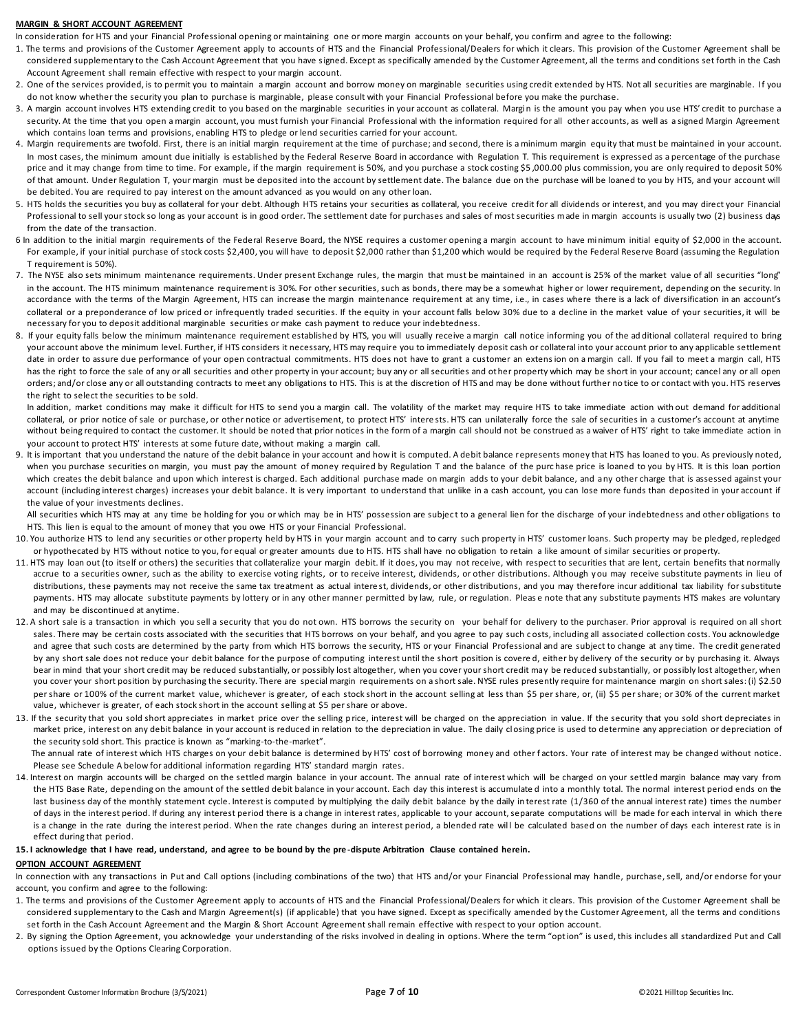#### **MARGIN & SHORT ACCOUNT AGREEMENT**

In consideration for HTS and your Financial Professional opening or maintaining one or more margin accounts on your behalf, you confirm and agree to the following:

- 1. The terms and provisions of the Customer Agreement apply to accounts of HTS and the Financial Professional/Dealers for which it clears. This provision of the Customer Agreement shall be considered supplementary to the Cash Account Agreement that you have signed. Except as specifically amended by the Customer Agreement, all the terms and conditions set forth in the Cash Account Agreement shall remain effective with respect to your margin account.
- 2. One of the services provided, is to permit you to maintain a margin account and borrow money on marginable securities using credit extended by HTS. Not all securities are marginable. If you do not know whether the security you plan to purchase is marginable, please consult with your Financial Professional before you make the purchase.
- 3. A margin account involves HTS extending credit to you based on the marginable securities in your account as collateral. Margin is the amount you pay when you use HTS' credit to purchase a security. At the time that you open a margin account, you must furnish your Financial Professional with the information required for all other accounts, as well as a signed Margin Agreement which contains loan terms and provisions, enabling HTS to pledge or lend securities carried for your account.
- 4. Margin requirements are twofold. First, there is an initial margin requirement at the time of purchase; and second, there is a minimum margin equ ity that must be maintained in your account. In most cases, the minimum amount due initially is established by the Federal Reserve Board in accordance with Regulation T. This requirement is expressed as a percentage of the purchase price and it may change from time to time. For example, if the margin requirement is 50%, and you purchase a stock costing \$5,000.00 plus commission, you are only required to deposit 50% of that amount. Under Regulation T, your margin must be deposited into the account by settlement date. The balance due on the purchase will be loaned to you by HTS, and your account will be debited. You are required to pay interest on the amount advanced as you would on any other loan.
- 5. HTS holds the securities you buy as collateral for your debt. Although HTS retains your securities as collateral, you receive credit for all dividends or interest, and you may direct your Financial Professional to sell your stock so long as your account is in good order. The settlement date for purchases and sales of most securities made in margin accounts is usually two (2) business days from the date of the transaction.
- 6 In addition to the initial margin requirements of the Federal Reserve Board, the NYSE requires a customer opening a margin account to have minimum initial equity of \$2,000 in the account. For example, if your initial purchase of stock costs \$2,400, you will have to deposit \$2,000 rather than \$1,200 which would be required by the Federal Reserve Board (assuming the Regulation T requirement is 50%).
- 7. The NYSE also sets minimum maintenance requirements. Under present Exchange rules, the margin that must be maintained in an account is 25% of the market value of all securities "long" in the account. The HTS minimum maintenance requirement is 30%. For other securities, such as bonds, there may be a somewhat higher or lower requirement, depending on the security. In accordance with the terms of the Margin Agreement, HTS can increase the margin maintenance requirement at any time, i.e., in cases where there is a lack of diversification in an account's collateral or a preponderance of low priced or infrequently traded securities. If the equity in your account falls below 30% due to a decline in the market value of your securities, it will be necessary for you to deposit additional marginable securities or make cash payment to reduce your indebtedness.
- 8. If your equity falls below the minimum maintenance requirement established by HTS, you will usually receive a margin call notice informing you of the ad ditional collateral required to bring your account above the minimum level. Further, if HTS considers it necessary, HTS may require you to immediately deposit cash or collateral into your account prior to any applicable settlement date in order to assure due performance of your open contractual commitments. HTS does not have to grant a customer an extens ion on a margin call. If you fail to meet a margin call, HTS has the right to force the sale of any or all securities and other property in your account; buy any or all securities and other property which may be short in your account; cancel any or all open orders; and/or close any or all outstanding contracts to meet any obligations to HTS. This is at the discretion of HTS and may be done without further no tice to or contact with you. HTS reserves the right to select the securities to be sold.

 In addition, market conditions may make it difficult for HTS to send you a margin call. The volatility of the market may require HTS to take immediate action with out demand for additional collateral, or prior notice of sale or purchase, or other notice or advertisement, to protect HTS' intere sts. HTS can unilaterally force the sale of securities in a customer's account at anytime without being required to contact the customer. It should be noted that prior notices in the form of a margin call should not be construed as a waiver of HTS' right to take immediate action in your account to protect HTS' interests at some future date, without making a margin call.

9. It is important that you understand the nature of the debit balance in your account and how it is computed. A debit balance represents money that HTS has loaned to you. As previously noted, when you purchase securities on margin, you must pay the amount of money required by Regulation T and the balance of the purc hase price is loaned to you by HTS. It is this loan portion which creates the debit balance and upon which interest is charged. Each additional purchase made on margin adds to your debit balance, and any other charge that is assessed against your account (including interest charges) increases your debit balance. It is very important to understand that unlike in a cash account, you can lose more funds than deposited in your account if the value of your investments declines.

All securities which HTS may at any time be holding for you or which may be in HTS' possession are subject to a general lien for the discharge of your indebtedness and other obligations to HTS. This lien is equal to the amount of money that you owe HTS or your Financial Professional.

- 10. You authorize HTS to lend any securities or other property held by HTS in your margin account and to carry such property in HTS' customer loans. Such property may be pledged, repledged or hypothecated by HTS without notice to you, for equal or greater amounts due to HTS. HTS shall have no obligation to retain a like amount of similar securities or property.
- 11. HTS may loan out (to itself or others) the securities that collateralize your margin debit. If it does, you may not receive, with respect to securities that are lent, certain benefits that normally accrue to a securities owner, such as the ability to exercise voting rights, or to receive interest, dividends, or other distributions. Although you may receive substitute payments in lieu of distributions, these payments may not receive the same tax treatment as actual interest, dividends, or other distributions, and you may therefore incur additional tax liability for substitute payments. HTS may allocate substitute payments by lottery or in any other manner permitted by law, rule, or regulation. Pleas e note that any substitute payments HTS makes are voluntary and may be discontinued at anytime.
- 12. A short sale is a transaction in which you sell a security that you do not own. HTS borrows the security on your behalf for delivery to the purchaser. Prior approval is required on all short sales. There may be certain costs associated with the securities that HTS borrows on your behalf, and you agree to pay such costs, including all associated collection costs. You acknowledge and agree that such costs are determined by the party from which HTS borrows the security, HTS or your Financial Professional and are subject to change at any time. The credit generated by any short sale does not reduce your debit balance for the purpose of computing interest until the short position is covered, either by delivery of the security or by purchasing it. Always bear in mind that your short credit may be reduced substantially, or possibly lost altogether, when you cover your short credit may be reduced substantially, or possibly lost altogether, when you cover your short position by purchasing the security. There are special margin requirements on a short sale. NYSE rules presently require for maintenance margin on short sales: (i) \$2.50 per share or 100% of the current market value, whichever is greater, of each stock short in the account selling at less than \$5 per share, or, (ii) \$5 per share; or 30% of the current market value, whichever is greater, of each stock short in the account selling at \$5 per share or above.
- 13. If the security that you sold short appreciates in market price over the selling price, interest will be charged on the appreciation in value. If the security that you sold short depreciates in market price, interest on any debit balance in your account is reduced in relation to the depreciation in value. The daily closing price is used to determine any appreciation or depreciation of the security sold short. This practice is known as "marking-to-the-market".

The annual rate of interest which HTS charges on your debit balance is determined by HTS' cost of borrowing money and other factors. Your rate of interest may be changed without notice. Please see Schedule A below for additional information regarding HTS' standard margin rates.

14. Interest on margin accounts will be charged on the settled margin balance in your account. The annual rate of interest which will be charged on your settled margin balance may vary from the HTS Base Rate, depending on the amount of the settled debit balance in your account. Each day this interest is accumulate d into a monthly total. The normal interest period ends on the last business day of the monthly statement cycle. Interest is computed by multiplying the daily debit balance by the daily in terest rate (1/360 of the annual interest rate) times the number of days in the interest period. If during any interest period there is a change in interest rates, applicable to your account, separate computations will be made for each interval in which there is a change in the rate during the interest period. When the rate changes during an interest period, a blended rate will be calculated based on the number of days each interest rate is in effect during that period.

#### **15. I acknowledge that I have read, understand, and agree to be bound by the pre -dispute Arbitration Clause contained herein.**

#### **OPTION ACCOUNT AGREEMENT**

In connection with any transactions in Put and Call options (including combinations of the two) that HTS and/or your Financial Professional may handle, purchase, sell, and/or endorse for your account, you confirm and agree to the following:

- 1. The terms and provisions of the Customer Agreement apply to accounts of HTS and the Financial Professional/Dealers for which it clears. This provision of the Customer Agreement shall be considered supplementary to the Cash and Margin Agreement(s) (if applicable) that you have signed. Except as specifically amended by the Customer Agreement, all the terms and conditions set forth in the Cash Account Agreement and the Margin & Short Account Agreement shall remain effective with respect to your option account.
- 2. By signing the Option Agreement, you acknowledge your understanding of the risks involved in dealing in options. Where the term "option" is used, this includes all standardized Put and Call options issued by the Options Clearing Corporation.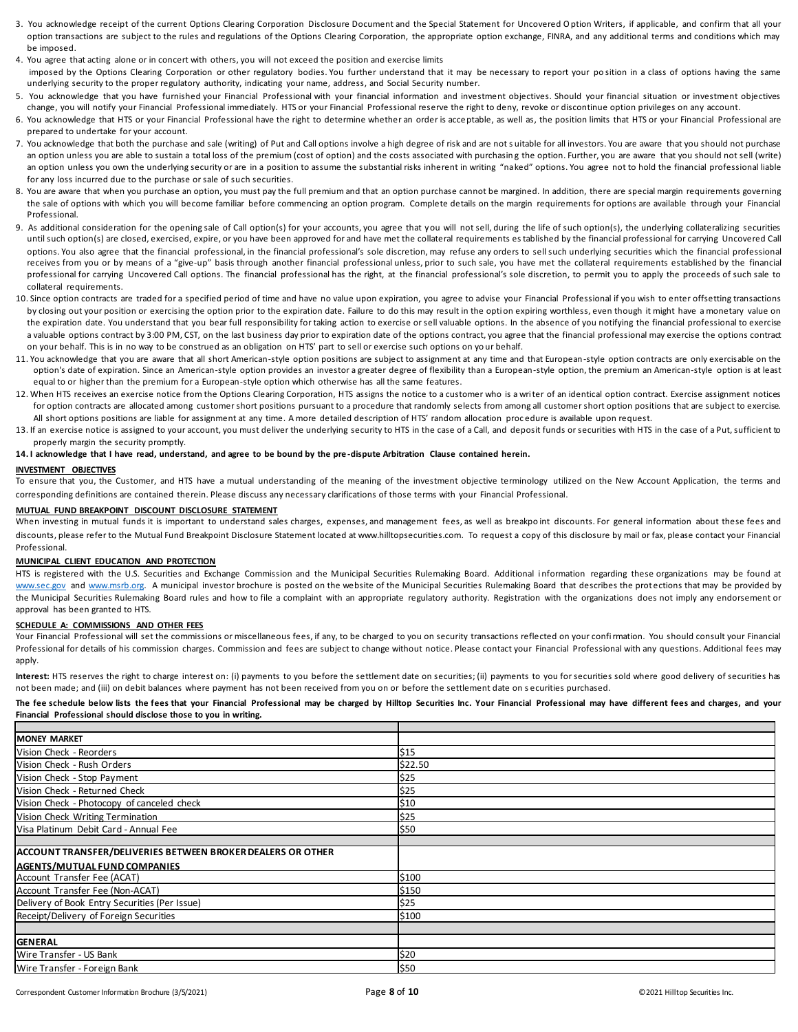- 3. You acknowledge receipt of the current Options Clearing Corporation Disclosure Document and the Special Statement for Uncovered Option Writers, if applicable, and confirm that all your option transactions are subject to the rules and regulations of the Options Clearing Corporation, the appropriate option exchange, FINRA, and any additional terms and conditions which may be imposed.
- 4. You agree that acting alone or in concert with others, you will not exceed the position and exercise limits imposed by the Options Clearing Corporation or other regulatory bodies. You further understand that it may be necessary to report your position in a class of options having the same underlying security to the proper regulatory authority, indicating your name, address, and Social Security number.
- 5. You acknowledge that you have furnished your Financial Professional with your financial information and investment objectives. Should your financial situation or investment objectives change, you will notify your Financial Professional immediately. HTS or your Financial Professional reserve the right to deny, revoke or discontinue option privileges on any account.
- 6. You acknowledge that HTS or your Financial Professional have the right to determine whether an order is acceptable, as well as, the position limits that HTS or your Financial Professional are prepared to undertake for your account.
- 7. You acknowledge that both the purchase and sale (writing) of Put and Call options involve a high degree of risk and are not s uitable for all investors. You are aware that you should not purchase an option unless you are able to sustain a total loss of the premium (cost of option) and the costs associated with purchasing the option. Further, you are aware that you should not sell (write) an option unless you own the underlying security or are in a position to assume the substantial risks inherent in writing "naked" options. You agree not to hold the financial professional liable for any loss incurred due to the purchase or sale of such securities.
- 8. You are aware that when you purchase an option, you must pay the full premium and that an option purchase cannot be margined. In addition, there are special margin requirements governing the sale of options with which you will become familiar before commencing an option program. Complete details on the margin requirements for options are available through your Financial Professional.
- 9. As additional consideration for the opening sale of Call option(s) for your accounts, you agree that you will not sell, during the life of such option(s), the underlying collateralizing securities until such option(s) are closed, exercised, expire, or you have been approved for and have met the collateral requirements established by the financial professional for carrying Uncovered Call options. You also agree that the financial professional, in the financial professional's sole discretion, may refuse any orders to sell such underlying securities which the financial professional receives from you or by means of a "give-up" basis through another financial professional unless, prior to such sale, you have met the collateral requirements established by the financial professional for carrying Uncovered Call options. The financial professional has the right, at the financial professional's sole discretion, to permit you to apply the proceeds of such sale to collateral requirements.
- 10. Since option contracts are traded for a specified period of time and have no value upon expiration, you agree to advise your Financial Professional if you wish to enter offsetting transactions by closing out your position or exercising the option prior to the expiration date. Failure to do this may result in the option expiring worthless, even though it might have a monetary value on the expiration date. You understand that you bear full responsibility for taking action to exercise or sell valuable options. In the absence of you notifying the financial professional to exercise a valuable options contract by 3:00 PM. CST, on the last business day prior to expiration date of the options contract, you agree that the financial professional may exercise the options contract on your behalf. This is in no way to be construed as an obligation on HTS' part to sell or exercise such options on yo ur behalf.
- 11. You acknowledge that you are aware that all short American-style option positions are subject to assignment at any time and that European-style option contracts are only exercisable on the option's date of expiration. Since an American-style option provides an investor a greater degree of flexibility than a European-style option, the premium an American-style option is at least equal to or higher than the premium for a European-style option which otherwise has all the same features.
- 12. When HTS receives an exercise notice from the Options Clearing Corporation, HTS assigns the notice to a customer who is a writer of an identical option contract. Exercise assignment notices for option contracts are allocated among customer short positions pursuant to a procedure that randomly selects from among all customer short option positions that are subject to exercise. All short options positions are liable for assignment at any time. A more detailed description of HTS' random allocation proc edure is available upon request.
- 13. If an exercise notice is assigned to your account, you must deliver the underlying security to HTS in the case of a Call, and deposit funds or securities with HTS in the case of a Put, sufficient to properly margin the security promptly.

# **14. I acknowledge that I have read, understand, and agree to be bound by the pre -dispute Arbitration Clause contained herein.**

# **INVESTMENT OBJECTIVES**

To ensure that you, the Customer, and HTS have a mutual understanding of the meaning of the investment objective terminology utilized on the New Account Application, the terms and corresponding definitions are contained therein. Please discuss any necessary clarifications of those terms with your Financial Professional.

# **MUTUAL FUND BREAKPOINT DISCOUNT DISCLOSURE STATEMENT**

When investing in mutual funds it is important to understand sales charges, expenses, and management fees, as well as breakpo int discounts. For general information about these fees and discounts, please refer to the Mutual Fund Breakpoint Disclosure Statement located at www.hilltopsecurities.com. To request a copy of this disclosure by mail or fax, please contact your Financial Professional.

# **MUNICIPAL CLIENT EDUCATION AND PROTECTION**

HTS is registered with the U.S. Securities and Exchange Commission and the Municipal Securities Rulemaking Board. Additional information regarding these organizations may be found at [www.sec.gov](http://www.sec.gov/) and [www.msrb.org.](http://www.msrb.org/) A municipal investor brochure is posted on the website of the Municipal Securities Rulemaking Board that describes the protections that may be provided by the Municipal Securities Rulemaking Board rules and how to file a complaint with an appropriate regulatory authority. Registration with the organizations does not imply any endorsement or approval has been granted to HTS.

### **SCHEDULE A: COMMISSIONS AND OTHER FEES**

Your Financial Professional will set the commissions or miscellaneous fees, if any, to be charged to you on security transactions reflected on your confirmation. You should consult your Financial Professional for details of his commission charges. Commission and fees are subject to change without notice. Please contact your Financial Professional with any questions. Additional fees may apply.

**Interest:** HTS reserves the right to charge interest on: (i) payments to you before the settlement date on securities; (ii) payments to you for securities sold where good delivery of securities has not been made; and (iii) on debit balances where payment has not been received from you on or before the settlement date on s ecurities purchased.

**The fee schedule below lists the fees that your Financial Professional may be charged by Hilltop Securities Inc. Your Financial Professional may have different fees and charges, and your Financial Professional should disclose those to you in writing.**

| <b>MONEY MARKET</b>                                         |         |
|-------------------------------------------------------------|---------|
| Vision Check - Reorders                                     | \$15    |
| Vision Check - Rush Orders                                  | \$22.50 |
| Vision Check - Stop Payment                                 | \$25    |
| Vision Check - Returned Check                               | \$25    |
| Vision Check - Photocopy of canceled check                  | \$10    |
| Vision Check Writing Termination                            | \$25    |
| Visa Platinum Debit Card - Annual Fee                       | \$50    |
|                                                             |         |
| ACCOUNT TRANSFER/DELIVERIES BETWEEN BROKER DEALERS OR OTHER |         |
| <b>AGENTS/MUTUAL FUND COMPANIES</b>                         |         |
| Account Transfer Fee (ACAT)                                 | \$100   |
| Account Transfer Fee (Non-ACAT)                             | \$150   |
| Delivery of Book Entry Securities (Per Issue)               | \$25    |
| Receipt/Delivery of Foreign Securities                      | \$100   |
|                                                             |         |
| <b>GENERAL</b>                                              |         |
| Wire Transfer - US Bank                                     | \$20    |
| Wire Transfer - Foreign Bank                                | \$50    |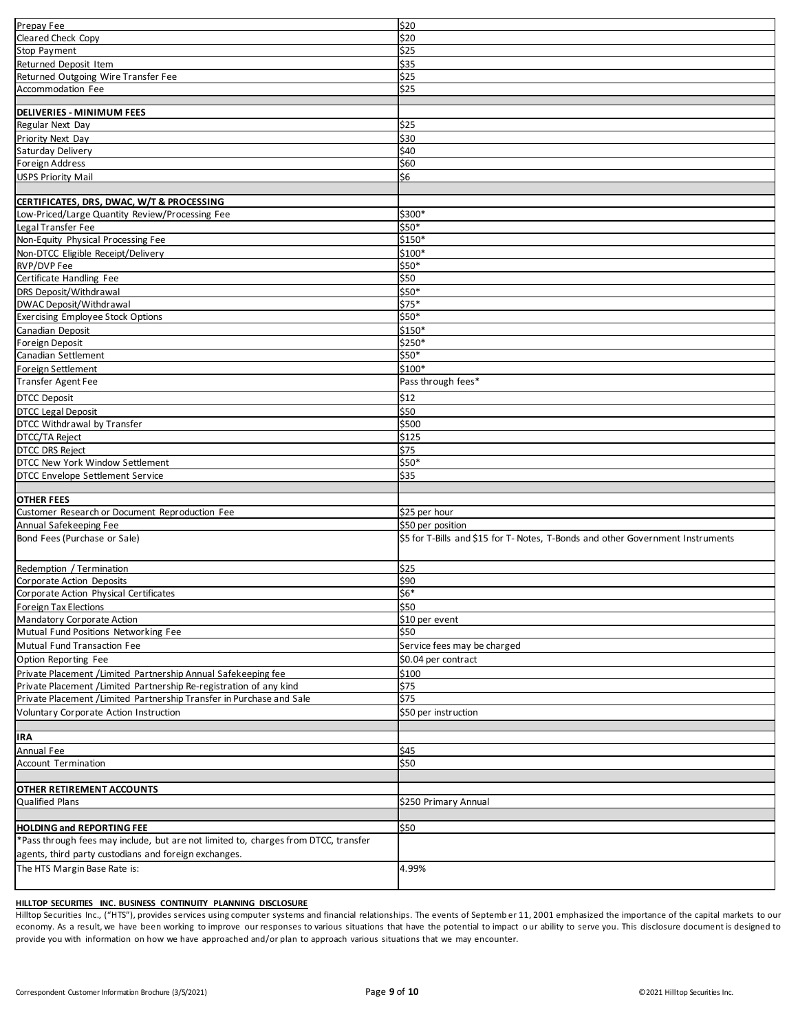| Prepay Fee                                                                          | \$20                                                                            |
|-------------------------------------------------------------------------------------|---------------------------------------------------------------------------------|
| <b>Cleared Check Copy</b>                                                           | \$20                                                                            |
| Stop Payment                                                                        | \$25                                                                            |
| Returned Deposit Item                                                               | \$35                                                                            |
| Returned Outgoing Wire Transfer Fee                                                 | \$25                                                                            |
| Accommodation Fee                                                                   | $\frac{1}{225}$                                                                 |
|                                                                                     |                                                                                 |
| <b>DELIVERIES - MINIMUM FEES</b>                                                    |                                                                                 |
| Regular Next Day                                                                    | \$25                                                                            |
| Priority Next Day                                                                   | \$30                                                                            |
|                                                                                     |                                                                                 |
| Saturday Delivery                                                                   | \$40                                                                            |
| Foreign Address                                                                     | \$60                                                                            |
| <b>USPS Priority Mail</b>                                                           | \$6                                                                             |
|                                                                                     |                                                                                 |
| CERTIFICATES, DRS, DWAC, W/T & PROCESSING                                           |                                                                                 |
| Low-Priced/Large Quantity Review/Processing Fee                                     | \$300*                                                                          |
| Legal Transfer Fee                                                                  | \$50*                                                                           |
| Non-Equity Physical Processing Fee                                                  | \$150*                                                                          |
| Non-DTCC Eligible Receipt/Delivery                                                  | \$100*                                                                          |
| RVP/DVP Fee                                                                         | \$50*                                                                           |
| Certificate Handling Fee                                                            | \$50                                                                            |
| <b>DRS Deposit/Withdrawal</b>                                                       | \$50*                                                                           |
| DWAC Deposit/Withdrawal                                                             | $$75*$                                                                          |
| <b>Exercising Employee Stock Options</b>                                            | \$50*                                                                           |
| Canadian Deposit                                                                    | \$150*                                                                          |
| Foreign Deposit                                                                     | \$250*                                                                          |
| Canadian Settlement                                                                 | \$50*                                                                           |
| Foreign Settlement                                                                  | \$100*                                                                          |
|                                                                                     | Pass through fees*                                                              |
| Transfer Agent Fee                                                                  |                                                                                 |
| <b>DTCC Deposit</b>                                                                 | \$12                                                                            |
| <b>DTCC Legal Deposit</b>                                                           | \$50                                                                            |
| DTCC Withdrawal by Transfer                                                         | \$500                                                                           |
| DTCC/TA Reject                                                                      | \$125                                                                           |
| <b>DTCC DRS Reject</b>                                                              | \$75                                                                            |
| DTCC New York Window Settlement                                                     | \$50*                                                                           |
| DTCC Envelope Settlement Service                                                    | \$35                                                                            |
|                                                                                     |                                                                                 |
|                                                                                     |                                                                                 |
| <b>OTHER FEES</b>                                                                   |                                                                                 |
| Customer Research or Document Reproduction Fee                                      |                                                                                 |
|                                                                                     | \$25 per hour                                                                   |
| Annual Safekeeping Fee                                                              | \$50 per position                                                               |
| Bond Fees (Purchase or Sale)                                                        | \$5 for T-Bills and \$15 for T- Notes, T-Bonds and other Government Instruments |
|                                                                                     |                                                                                 |
| Redemption / Termination                                                            | \$25                                                                            |
| Corporate Action Deposits                                                           | \$90                                                                            |
| Corporate Action Physical Certificates                                              | $$6*$                                                                           |
| Foreign Tax Elections                                                               | \$50                                                                            |
| Mandatory Corporate Action                                                          | \$10 per event                                                                  |
| Mutual Fund Positions Networking Fee                                                | \$50                                                                            |
| Mutual Fund Transaction Fee                                                         | Service fees may be charged                                                     |
|                                                                                     |                                                                                 |
| Option Reporting Fee                                                                | \$0.04 per contract                                                             |
| Private Placement / Limited Partnership Annual Safekeeping fee                      | \$100                                                                           |
| Private Placement / Limited Partnership Re-registration of any kind                 | \$75                                                                            |
| Private Placement / Limited Partnership Transfer in Purchase and Sale               | \$75                                                                            |
| Voluntary Corporate Action Instruction                                              | \$50 per instruction                                                            |
|                                                                                     |                                                                                 |
| IRA                                                                                 |                                                                                 |
| Annual Fee                                                                          | \$45                                                                            |
| <b>Account Termination</b>                                                          | \$50                                                                            |
|                                                                                     |                                                                                 |
| OTHER RETIREMENT ACCOUNTS                                                           |                                                                                 |
| <b>Qualified Plans</b>                                                              | \$250 Primary Annual                                                            |
|                                                                                     |                                                                                 |
| <b>HOLDING and REPORTING FEE</b>                                                    | \$50                                                                            |
| *Pass through fees may include, but are not limited to, charges from DTCC, transfer |                                                                                 |
| agents, third party custodians and foreign exchanges.                               |                                                                                 |
| The HTS Margin Base Rate is:                                                        | 4.99%                                                                           |

# **HILLTOP SECURITIES INC. BUSINESS CONTINUITY PLANNING DISCLOSURE**

Hilltop Securities Inc., ("HTS"), provides services using computer systems and financial relationships. The events of Septemb er 11, 2001 emphasized the importance of the capital markets to our economy. As a result, we have been working to improve our responses to various situations that have the potential to impact our ability to serve you. This disclosure document is designed to provide you with information on how we have approached and/or plan to approach various situations that we may encounter.